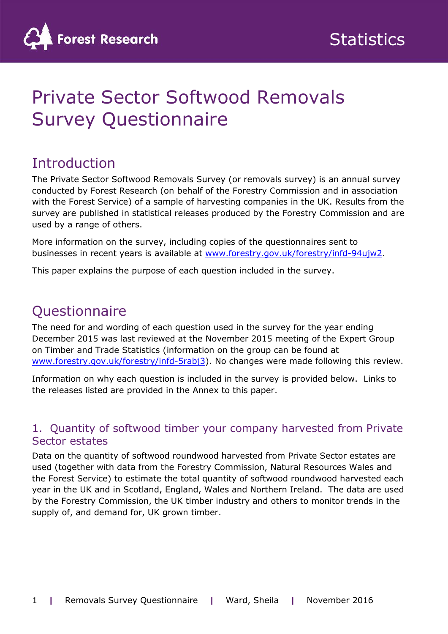

# Private Sector Softwood Removals Survey Questionnaire

### **Introduction**

The Private Sector Softwood Removals Survey (or removals survey) is an annual survey conducted by Forest Research (on behalf of the Forestry Commission and in association with the Forest Service) of a sample of harvesting companies in the UK. Results from the survey are published in statistical releases produced by the Forestry Commission and are used by a range of others.

More information on the survey, including copies of the questionnaires sent to businesses in recent years is available at [www.forestry.gov.uk/forestry/infd-94ujw2.](http://www.forestry.gov.uk/forestry/infd-94ujw2)

This paper explains the purpose of each question included in the survey.

## **Questionnaire**

The need for and wording of each question used in the survey for the year ending December 2015 was last reviewed at the November 2015 meeting of the Expert Group on Timber and Trade Statistics (information on the group can be found at [www.forestry.gov.uk/forestry/infd-5rabj3\)](http://www.forestry.gov.uk/forestry/infd-5rabj3). No changes were made following this review.

Information on why each question is included in the survey is provided below. Links to the releases listed are provided in the Annex to this paper.

#### 1. Quantity of softwood timber your company harvested from Private Sector estates

Data on the quantity of softwood roundwood harvested from Private Sector estates are used (together with data from the Forestry Commission, Natural Resources Wales and the Forest Service) to estimate the total quantity of softwood roundwood harvested each year in the UK and in Scotland, England, Wales and Northern Ireland. The data are used by the Forestry Commission, the UK timber industry and others to monitor trends in the supply of, and demand for, UK grown timber.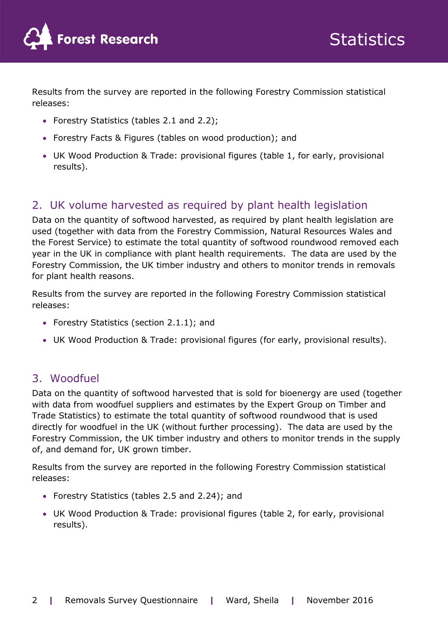

Results from the survey are reported in the following Forestry Commission statistical releases:

- Forestry Statistics (tables 2.1 and 2.2);
- Forestry Facts & Figures (tables on wood production); and
- UK Wood Production & Trade: provisional figures (table 1, for early, provisional results).

#### 2. UK volume harvested as required by plant health legislation

Data on the quantity of softwood harvested, as required by plant health legislation are used (together with data from the Forestry Commission, Natural Resources Wales and the Forest Service) to estimate the total quantity of softwood roundwood removed each year in the UK in compliance with plant health requirements. The data are used by the Forestry Commission, the UK timber industry and others to monitor trends in removals for plant health reasons.

Results from the survey are reported in the following Forestry Commission statistical releases:

- Forestry Statistics (section 2.1.1); and
- UK Wood Production & Trade: provisional figures (for early, provisional results).

#### 3. Woodfuel

Data on the quantity of softwood harvested that is sold for bioenergy are used (together with data from woodfuel suppliers and estimates by the Expert Group on Timber and Trade Statistics) to estimate the total quantity of softwood roundwood that is used directly for woodfuel in the UK (without further processing). The data are used by the Forestry Commission, the UK timber industry and others to monitor trends in the supply of, and demand for, UK grown timber.

Results from the survey are reported in the following Forestry Commission statistical releases:

- Forestry Statistics (tables 2.5 and 2.24); and
- UK Wood Production & Trade: provisional figures (table 2, for early, provisional results).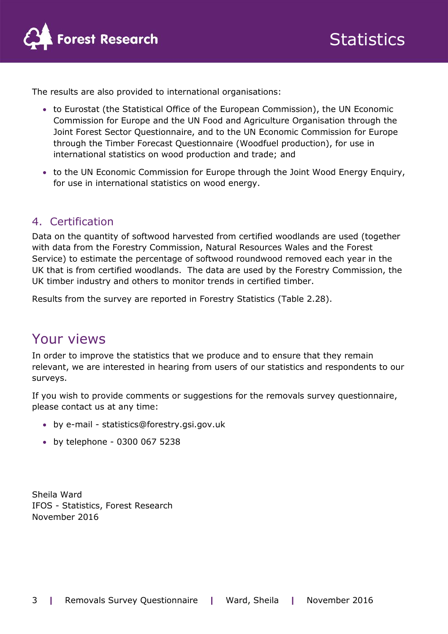

The results are also provided to international organisations:

- to Eurostat (the Statistical Office of the European Commission), the UN Economic Commission for Europe and the UN Food and Agriculture Organisation through the Joint Forest Sector Questionnaire, and to the UN Economic Commission for Europe through the Timber Forecast Questionnaire (Woodfuel production), for use in international statistics on wood production and trade; and
- to the UN Economic Commission for Europe through the Joint Wood Energy Enquiry, for use in international statistics on wood energy.

#### 4. Certification

Data on the quantity of softwood harvested from certified woodlands are used (together with data from the Forestry Commission, Natural Resources Wales and the Forest Service) to estimate the percentage of softwood roundwood removed each year in the UK that is from certified woodlands. The data are used by the Forestry Commission, the UK timber industry and others to monitor trends in certified timber.

Results from the survey are reported in Forestry Statistics (Table 2.28).

### Your views

In order to improve the statistics that we produce and to ensure that they remain relevant, we are interested in hearing from users of our statistics and respondents to our surveys.

If you wish to provide comments or suggestions for the removals survey questionnaire, please contact us at any time:

- by e-mail statistics@forestry.gsi.gov.uk
- by telephone 0300 067 5238

Sheila Ward IFOS - Statistics, Forest Research November 2016